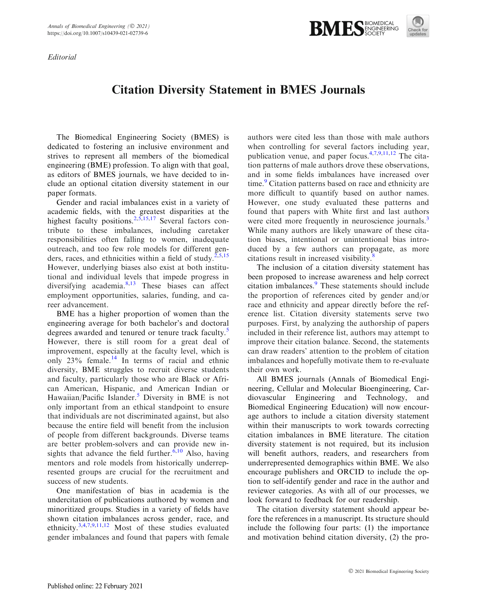Editorial



## Citation Diversity Statement in BMES Journals

The Biomedical Engineering Society (BMES) is dedicated to fostering an inclusive environment and strives to represent all members of the biomedical engineering (BME) profession. To align with that goal, as editors of BMES journals, we have decided to include an optional citation diversity statement in our paper formats.

Gender and racial imbalances exist in a variety of academic fields, with the greatest disparities at the highest faculty positions.  $2,5,15,17$  Several factors contribute to these imbalances, including caretaker responsibilities often falling to women, inadequate outreach, and too few role models for different genders, races, and ethnicities within a field of study.<sup>2,5,15</sup> However, underlying biases also exist at both institutional and individual levels that impede progress in diversifying academia.<sup>8,13</sup> These biases can affect employment opportunities, salaries, funding, and career advancement.

BME has a higher proportion of women than the engineering average for both bachelor's and doctoral degrees awarded and tenured or tenure track faculty.<sup>5</sup> However, there is still room for a great deal of improvement, especially at the faculty level, which is only 23% female.<sup>14</sup> In terms of racial and ethnic diversity, BME struggles to recruit diverse students and faculty, particularly those who are Black or African American, Hispanic, and American Indian or Hawaiian/Pacific Islander.<sup>5</sup> Diversity in BME is not only important from an ethical standpoint to ensure that individuals are not discriminated against, but also because the entire field will benefit from the inclusion of people from different backgrounds. Diverse teams are better problem-solvers and can provide new insights that advance the field further.<sup>6,10</sup> Also, having mentors and role models from historically underrepresented groups are crucial for the recruitment and success of new students.

One manifestation of bias in academia is the undercitation of publications authored by women and minoritized groups. Studies in a variety of fields have shown citation imbalances across gender, race, and ethnicity.3,4,7,9,11,12 Most of these studies evaluated gender imbalances and found that papers with female

authors were cited less than those with male authors when controlling for several factors including year, publication venue, and paper focus.4,7,9,11,12 The citation patterns of male authors drove these observations, and in some fields imbalances have increased over time.<sup>9</sup> Citation patterns based on race and ethnicity are more difficult to quantify based on author names. However, one study evaluated these patterns and found that papers with White first and last authors were cited more frequently in neuroscience journals.<sup>3</sup> While many authors are likely unaware of these citation biases, intentional or unintentional bias introduced by a few authors can propagate, as more citations result in increased visibility. $\delta$ 

The inclusion of a citation diversity statement has been proposed to increase awareness and help correct citation imbalances.<sup>9</sup> These statements should include the proportion of references cited by gender and/or race and ethnicity and appear directly before the reference list. Citation diversity statements serve two purposes. First, by analyzing the authorship of papers included in their reference list, authors may attempt to improve their citation balance. Second, the statements can draw readers' attention to the problem of citation imbalances and hopefully motivate them to re-evaluate their own work.

All BMES journals (Annals of Biomedical Engineering, Cellular and Molecular Bioengineering, Cardiovascular Engineering and Technology, and Biomedical Engineering Education) will now encourage authors to include a citation diversity statement within their manuscripts to work towards correcting citation imbalances in BME literature. The citation diversity statement is not required, but its inclusion will benefit authors, readers, and researchers from underrepresented demographics within BME. We also encourage publishers and ORCID to include the option to self-identify gender and race in the author and reviewer categories. As with all of our processes, we look forward to feedback for our readership.

The citation diversity statement should appear before the references in a manuscript. Its structure should include the following four parts: (1) the importance and motivation behind citation diversity, (2) the pro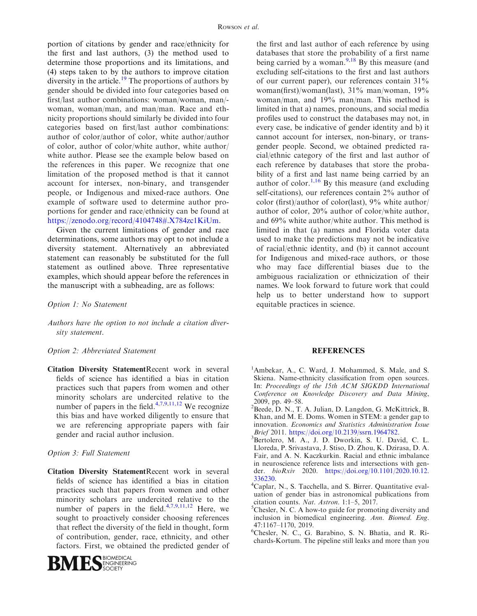portion of citations by gender and race/ethnicity for the first and last authors, (3) the method used to determine those proportions and its limitations, and (4) steps taken to by the authors to improve citation diversity in the article.<sup>19</sup> The proportions of authors by gender should be divided into four categories based on first/last author combinations: woman/woman, man/ woman, woman/man, and man/man. Race and ethnicity proportions should similarly be divided into four categories based on first/last author combinations: author of color/author of color, white author/author of color, author of color/white author, white author/ white author. Please see the example below based on the references in this paper. We recognize that one limitation of the proposed method is that it cannot account for intersex, non-binary, and transgender people, or Indigenous and mixed-race authors. One example of software used to determine author proportions for gender and race/ethnicity can be found at https://zenodo.org/record/4104748#.X784zc1KiUm.

Given the current limitations of gender and race determinations, some authors may opt to not include a diversity statement. Alternatively an abbreviated statement can reasonably be substituted for the full statement as outlined above. Three representative examples, which should appear before the references in the manuscript with a subheading, are as follows:

- Option 1: No Statement
- Authors have the option to not include a citation diversity statement.

## Option 2: Abbreviated Statement

Citation Diversity StatementRecent work in several fields of science has identified a bias in citation practices such that papers from women and other minority scholars are undercited relative to the number of papers in the field. $4,7,9,11,12$  We recognize this bias and have worked diligently to ensure that we are referencing appropriate papers with fair gender and racial author inclusion.

## Option 3: Full Statement

Citation Diversity StatementRecent work in several fields of science has identified a bias in citation practices such that papers from women and other minority scholars are undercited relative to the number of papers in the field. $4,7,9,11,12$  Here, we sought to proactively consider choosing references that reflect the diversity of the field in thought, form of contribution, gender, race, ethnicity, and other factors. First, we obtained the predicted gender of



the first and last author of each reference by using databases that store the probability of a first name being carried by a woman.<sup>9,18</sup> By this measure (and excluding self-citations to the first and last authors of our current paper), our references contain 31% woman(first)/woman(last), 31% man/woman, 19% woman/man, and 19% man/man. This method is limited in that a) names, pronouns, and social media profiles used to construct the databases may not, in every case, be indicative of gender identity and b) it cannot account for intersex, non-binary, or transgender people. Second, we obtained predicted racial/ethnic category of the first and last author of each reference by databases that store the probability of a first and last name being carried by an author of color.<sup>1,16</sup> By this measure (and excluding self-citations), our references contain 2% author of color (first)/author of color(last), 9% white author/ author of color, 20% author of color/white author, and 69% white author/white author. This method is limited in that (a) names and Florida voter data used to make the predictions may not be indicative of racial/ethnic identity, and (b) it cannot account for Indigenous and mixed-race authors, or those who may face differential biases due to the ambiguous racialization or ethnicization of their names. We look forward to future work that could help us to better understand how to support equitable practices in science.

## REFERENCES

- <sup>1</sup>Ambekar, A., C. Ward, J. Mohammed, S. Male, and S. Skiena. Name-ethnicity classification from open sources. In: Proceedings of the 15th ACM SIGKDD International Conference on Knowledge Discovery and Data Mining, 2009, pp. 49–58.
- <sup>2</sup>Beede, D. N., T. A. Julian, D. Langdon, G. McKittrick, B. Khan, and M. E. Doms. Women in STEM: a gender gap to innovation. Economics and Statistics Administration Issue Brief 2011. https://doi.org/10.2139/ssrn.1964782. <sup>3</sup>
- <sup>3</sup>Bertolero, M. A., J. D. Dworkin, S. U. David, C. L. Lloreda, P. Srivastava, J. Stiso, D. Zhou, K. Dzirasa, D. A. Fair, and A. N. Kaczkurkin. Racial and ethnic imbalance in neuroscience reference lists and intersections with gender. bioRxiv 2020. https://doi.org/10.1101/2020.10.12. 336230. <sup>4</sup>
- <sup>4</sup>Caplar, N., S. Tacchella, and S. Birrer. Quantitative evaluation of gender bias in astronomical publications from citation counts. Nat. Astron.  $1:1-5$ , 2017.
- ${}^5$ Chesler, N. C. A how-to guide for promoting diversity and inclusion in biomedical engineering. Ann. Biomed. Eng. 47:1167–1170, 2019.
- 6 Chesler, N. C., G. Barabino, S. N. Bhatia, and R. Richards-Kortum. The pipeline still leaks and more than you